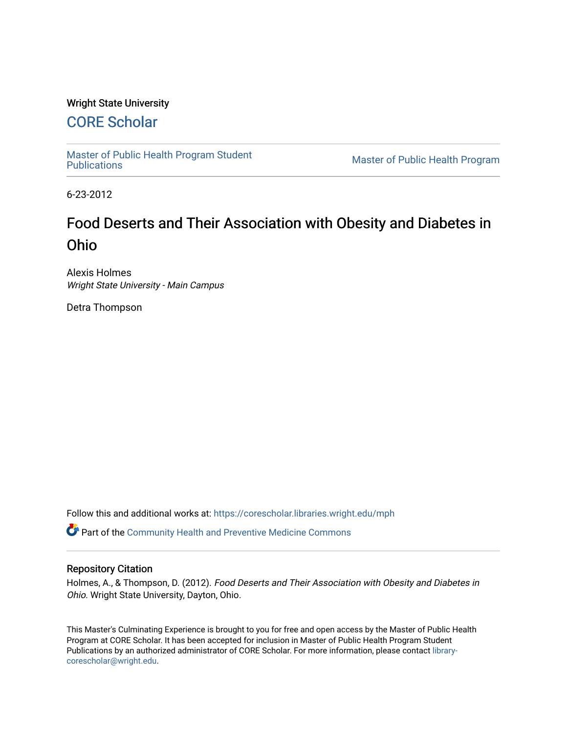#### Wright State University

# [CORE Scholar](https://corescholar.libraries.wright.edu/)

[Master of Public Health Program Student](https://corescholar.libraries.wright.edu/mph)

Master of Public Health Program

6-23-2012

# Food Deserts and Their Association with Obesity and Diabetes in Ohio

Alexis Holmes Wright State University - Main Campus

Detra Thompson

Follow this and additional works at: [https://corescholar.libraries.wright.edu/mph](https://corescholar.libraries.wright.edu/mph?utm_source=corescholar.libraries.wright.edu%2Fmph%2F41&utm_medium=PDF&utm_campaign=PDFCoverPages)

Part of the [Community Health and Preventive Medicine Commons](http://network.bepress.com/hgg/discipline/744?utm_source=corescholar.libraries.wright.edu%2Fmph%2F41&utm_medium=PDF&utm_campaign=PDFCoverPages)

#### Repository Citation

Holmes, A., & Thompson, D. (2012). Food Deserts and Their Association with Obesity and Diabetes in Ohio. Wright State University, Dayton, Ohio.

This Master's Culminating Experience is brought to you for free and open access by the Master of Public Health Program at CORE Scholar. It has been accepted for inclusion in Master of Public Health Program Student Publications by an authorized administrator of CORE Scholar. For more information, please contact [library](mailto:library-corescholar@wright.edu)[corescholar@wright.edu](mailto:library-corescholar@wright.edu).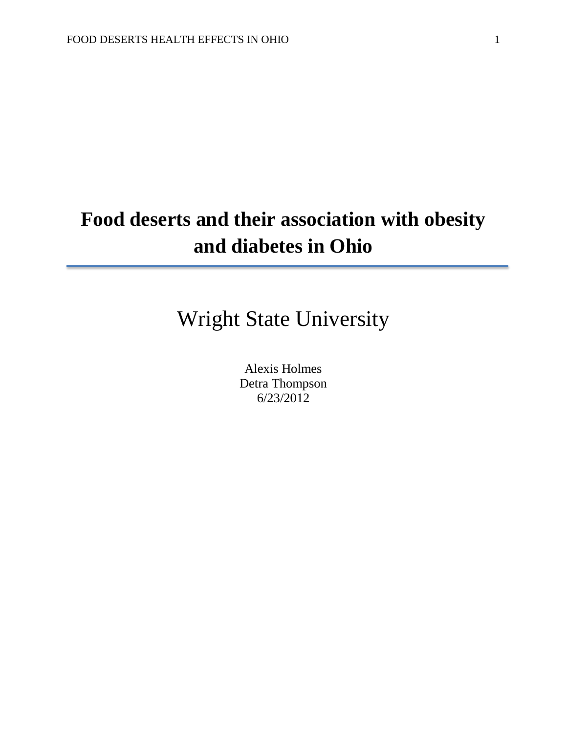# **Food deserts and their association with obesity and diabetes in Ohio**

# Wright State University

Alexis Holmes Detra Thompson 6/23/2012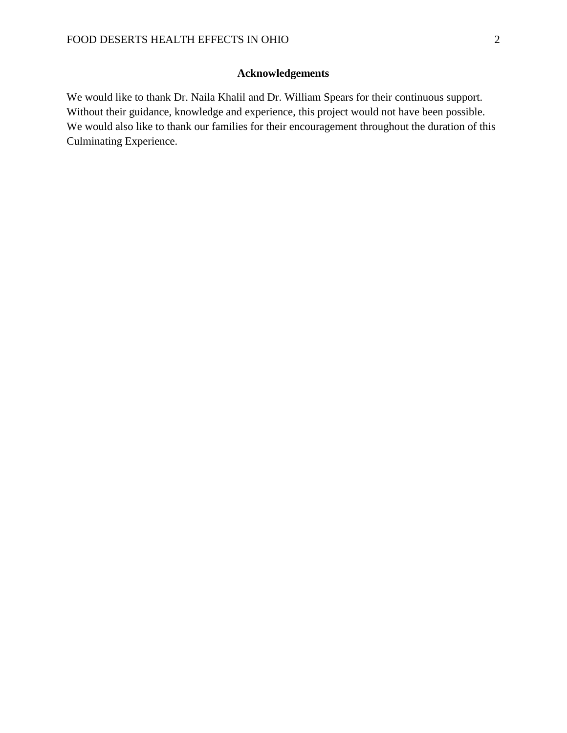### **Acknowledgements**

We would like to thank Dr. Naila Khalil and Dr. William Spears for their continuous support. Without their guidance, knowledge and experience, this project would not have been possible. We would also like to thank our families for their encouragement throughout the duration of this Culminating Experience.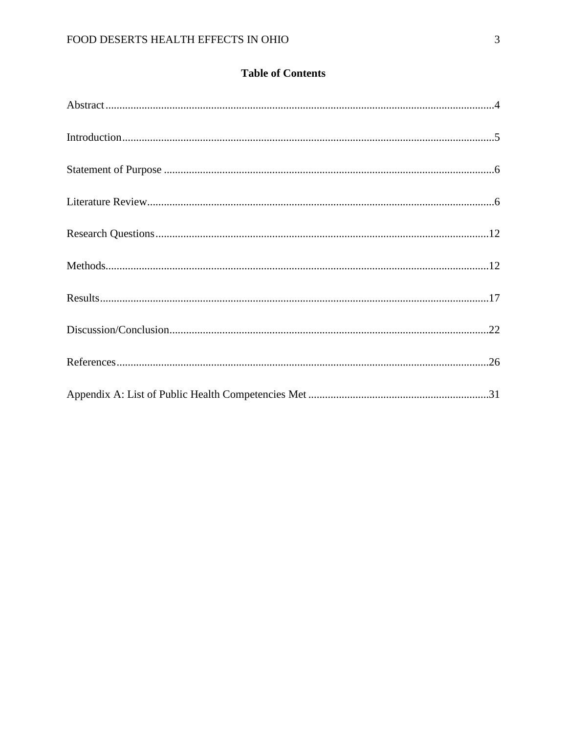### **Table of Contents**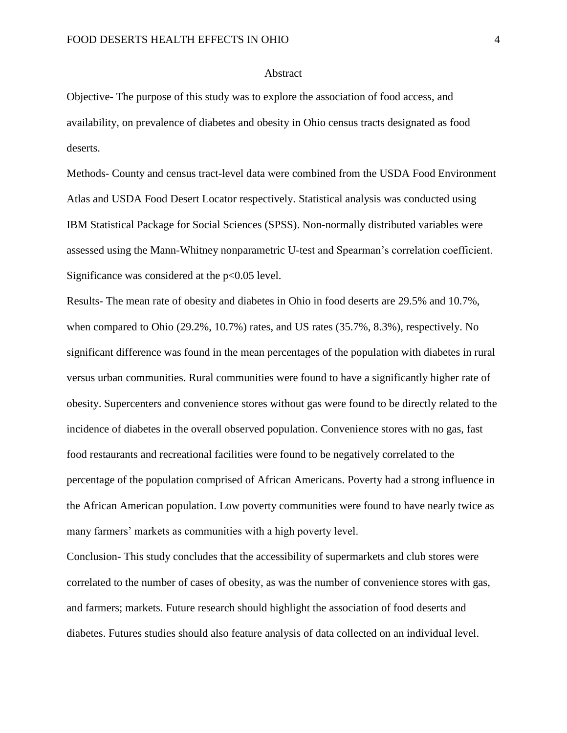#### Abstract

Objective- The purpose of this study was to explore the association of food access, and availability, on prevalence of diabetes and obesity in Ohio census tracts designated as food deserts.

Methods- County and census tract-level data were combined from the USDA Food Environment Atlas and USDA Food Desert Locator respectively. Statistical analysis was conducted using IBM Statistical Package for Social Sciences (SPSS). Non-normally distributed variables were assessed using the Mann-Whitney nonparametric U-test and Spearman's correlation coefficient. Significance was considered at the  $p<0.05$  level.

Results- The mean rate of obesity and diabetes in Ohio in food deserts are 29.5% and 10.7%, when compared to Ohio (29.2%, 10.7%) rates, and US rates (35.7%, 8.3%), respectively. No significant difference was found in the mean percentages of the population with diabetes in rural versus urban communities. Rural communities were found to have a significantly higher rate of obesity. Supercenters and convenience stores without gas were found to be directly related to the incidence of diabetes in the overall observed population. Convenience stores with no gas, fast food restaurants and recreational facilities were found to be negatively correlated to the percentage of the population comprised of African Americans. Poverty had a strong influence in the African American population. Low poverty communities were found to have nearly twice as many farmers' markets as communities with a high poverty level.

Conclusion- This study concludes that the accessibility of supermarkets and club stores were correlated to the number of cases of obesity, as was the number of convenience stores with gas, and farmers; markets. Future research should highlight the association of food deserts and diabetes. Futures studies should also feature analysis of data collected on an individual level.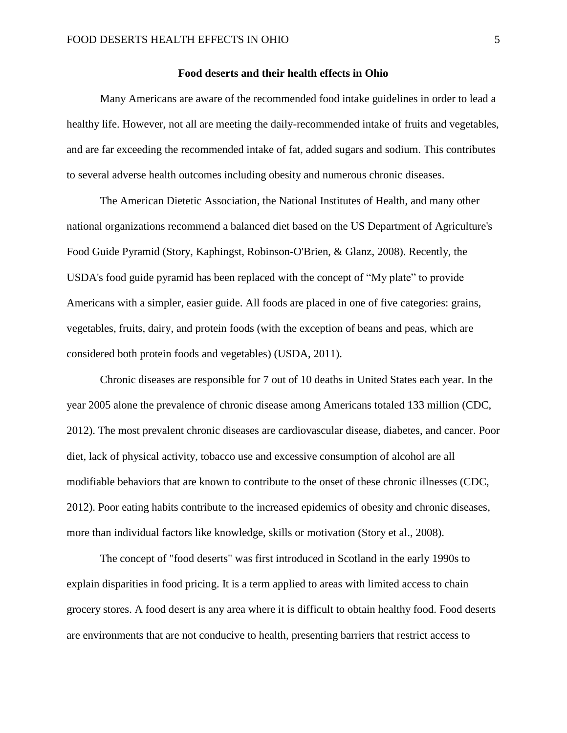#### **Food deserts and their health effects in Ohio**

Many Americans are aware of the recommended food intake guidelines in order to lead a healthy life. However, not all are meeting the daily-recommended intake of fruits and vegetables, and are far exceeding the recommended intake of fat, added sugars and sodium. This contributes to several adverse health outcomes including obesity and numerous chronic diseases.

The American Dietetic Association, the National Institutes of Health, and many other national organizations recommend a balanced diet based on the US Department of Agriculture's Food Guide Pyramid (Story, Kaphingst, Robinson-O'Brien, & Glanz, 2008). Recently, the USDA's food guide pyramid has been replaced with the concept of "My plate" to provide Americans with a simpler, easier guide. All foods are placed in one of five categories: grains, vegetables, fruits, dairy, and protein foods (with the exception of beans and peas, which are considered both protein foods and vegetables) (USDA, 2011).

Chronic diseases are responsible for 7 out of 10 deaths in United States each year. In the year 2005 alone the prevalence of chronic disease among Americans totaled 133 million (CDC, 2012). The most prevalent chronic diseases are cardiovascular disease, diabetes, and cancer. Poor diet, lack of physical activity, tobacco use and excessive consumption of alcohol are all modifiable behaviors that are known to contribute to the onset of these chronic illnesses (CDC, 2012). Poor eating habits contribute to the increased epidemics of obesity and chronic diseases, more than individual factors like knowledge, skills or motivation (Story et al., 2008).

The concept of "food deserts" was first introduced in Scotland in the early 1990s to explain disparities in food pricing. It is a term applied to areas with limited access to chain grocery stores. A food desert is any area where it is difficult to obtain healthy food. Food deserts are environments that are not conducive to health, presenting barriers that restrict access to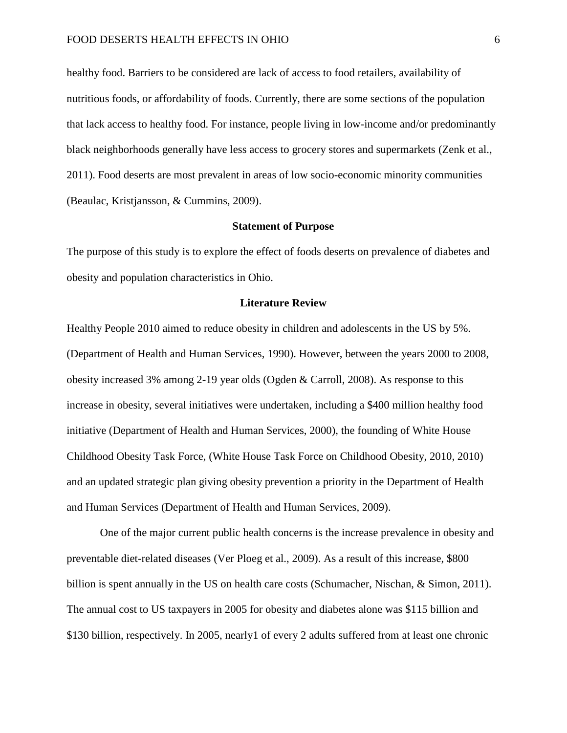healthy food. Barriers to be considered are lack of access to food retailers, availability of nutritious foods, or affordability of foods. Currently, there are some sections of the population that lack access to healthy food. For instance, people living in low-income and/or predominantly black neighborhoods generally have less access to grocery stores and supermarkets (Zenk et al., 2011). Food deserts are most prevalent in areas of low socio-economic minority communities (Beaulac, Kristjansson, & Cummins, 2009).

#### **Statement of Purpose**

The purpose of this study is to explore the effect of foods deserts on prevalence of diabetes and obesity and population characteristics in Ohio.

#### **Literature Review**

Healthy People 2010 aimed to reduce obesity in children and adolescents in the US by 5%. (Department of Health and Human Services, 1990). However, between the years 2000 to 2008, obesity increased 3% among 2-19 year olds (Ogden & Carroll, 2008). As response to this increase in obesity, several initiatives were undertaken, including a \$400 million healthy food initiative (Department of Health and Human Services, 2000), the founding of White House Childhood Obesity Task Force, (White House Task Force on Childhood Obesity, 2010, 2010) and an updated strategic plan giving obesity prevention a priority in the Department of Health and Human Services (Department of Health and Human Services, 2009).

One of the major current public health concerns is the increase prevalence in obesity and preventable diet-related diseases (Ver Ploeg et al., 2009). As a result of this increase, \$800 billion is spent annually in the US on health care costs (Schumacher, Nischan, & Simon, 2011). The annual cost to US taxpayers in 2005 for obesity and diabetes alone was \$115 billion and \$130 billion, respectively. In 2005, nearly1 of every 2 adults suffered from at least one chronic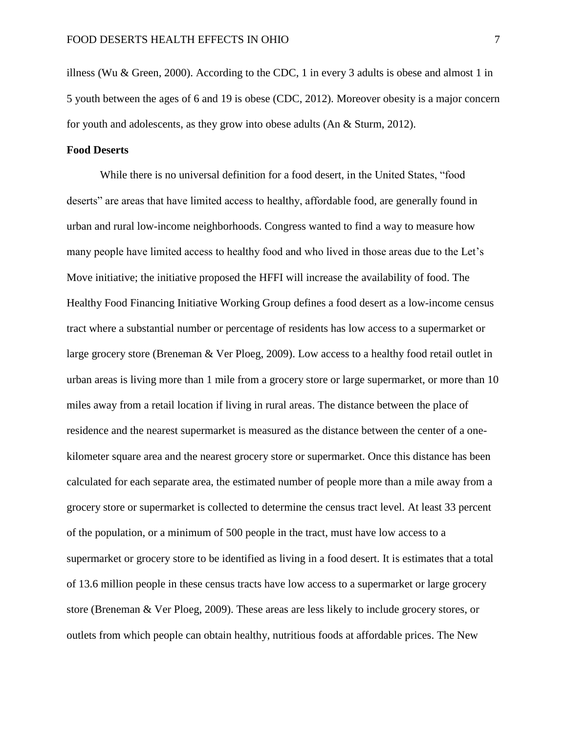illness (Wu & Green, 2000). According to the CDC, 1 in every 3 adults is obese and almost 1 in 5 youth between the ages of 6 and 19 is obese (CDC, 2012). Moreover obesity is a major concern for youth and adolescents, as they grow into obese adults (An & Sturm, 2012).

#### **Food Deserts**

While there is no universal definition for a food desert, in the United States, "food deserts" are areas that have limited access to healthy, affordable food, are generally found in urban and rural low-income neighborhoods. Congress wanted to find a way to measure how many people have limited access to healthy food and who lived in those areas due to the Let's Move initiative; the initiative proposed the HFFI will increase the availability of food. The Healthy Food Financing Initiative Working Group defines a food desert as a low-income census tract where a substantial number or percentage of residents has low access to a supermarket or large grocery store (Breneman & Ver Ploeg, 2009). Low access to a healthy food retail outlet in urban areas is living more than 1 mile from a grocery store or large supermarket, or more than 10 miles away from a retail location if living in rural areas. The distance between the place of residence and the nearest supermarket is measured as the distance between the center of a onekilometer square area and the nearest grocery store or supermarket. Once this distance has been calculated for each separate area, the estimated number of people more than a mile away from a grocery store or supermarket is collected to determine the census tract level. At least 33 percent of the population, or a minimum of 500 people in the tract, must have low access to a supermarket or grocery store to be identified as living in a food desert. It is estimates that a total of 13.6 million people in these census tracts have low access to a supermarket or large grocery store (Breneman & Ver Ploeg, 2009). These areas are less likely to include grocery stores, or outlets from which people can obtain healthy, nutritious foods at affordable prices. The New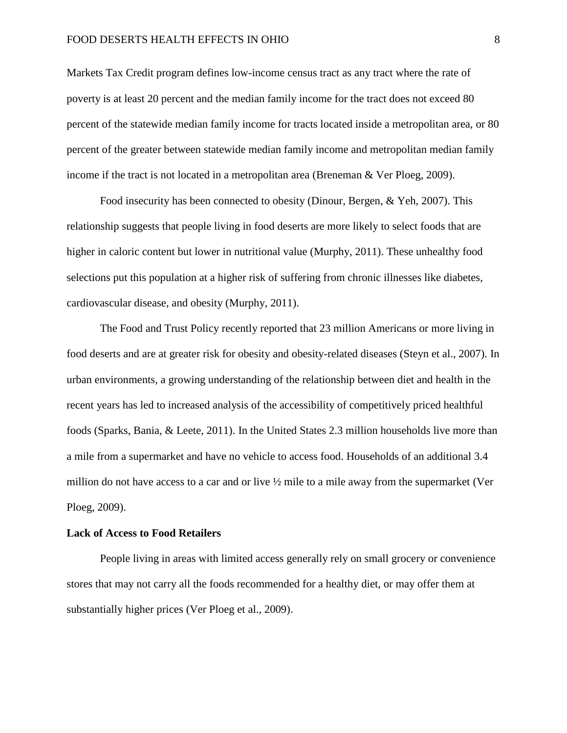#### FOOD DESERTS HEALTH EFFECTS IN OHIO 8

Markets Tax Credit program defines low-income census tract as any tract where the rate of poverty is at least 20 percent and the median family income for the tract does not exceed 80 percent of the statewide median family income for tracts located inside a metropolitan area, or 80 percent of the greater between statewide median family income and metropolitan median family income if the tract is not located in a metropolitan area (Breneman & Ver Ploeg, 2009).

Food insecurity has been connected to obesity (Dinour, Bergen, & Yeh, 2007). This relationship suggests that people living in food deserts are more likely to select foods that are higher in caloric content but lower in nutritional value (Murphy, 2011). These unhealthy food selections put this population at a higher risk of suffering from chronic illnesses like diabetes, cardiovascular disease, and obesity (Murphy, 2011).

The Food and Trust Policy recently reported that 23 million Americans or more living in food deserts and are at greater risk for obesity and obesity-related diseases (Steyn et al., 2007). In urban environments, a growing understanding of the relationship between diet and health in the recent years has led to increased analysis of the accessibility of competitively priced healthful foods (Sparks, Bania, & Leete, 2011). In the United States 2.3 million households live more than a mile from a supermarket and have no vehicle to access food. Households of an additional 3.4 million do not have access to a car and or live ½ mile to a mile away from the supermarket (Ver Ploeg, 2009).

#### **Lack of Access to Food Retailers**

People living in areas with limited access generally rely on small grocery or convenience stores that may not carry all the foods recommended for a healthy diet, or may offer them at substantially higher prices (Ver Ploeg et al., 2009).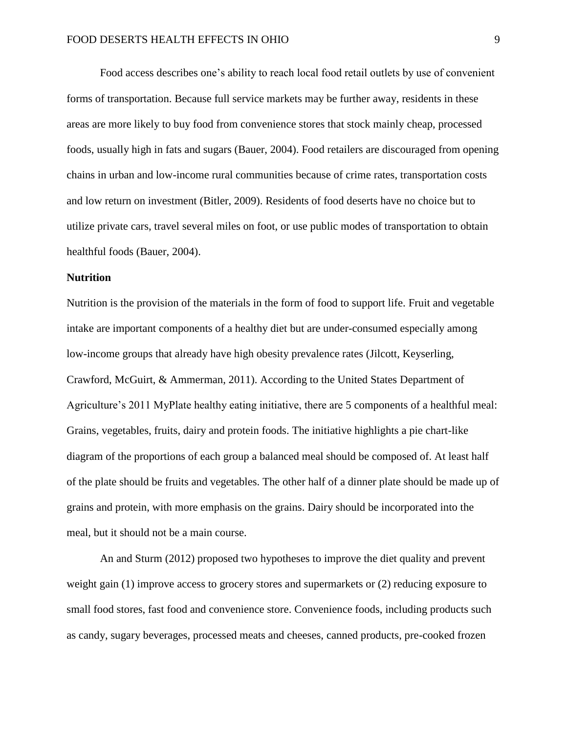Food access describes one's ability to reach local food retail outlets by use of convenient forms of transportation. Because full service markets may be further away, residents in these areas are more likely to buy food from convenience stores that stock mainly cheap, processed foods, usually high in fats and sugars (Bauer, 2004). Food retailers are discouraged from opening chains in urban and low-income rural communities because of crime rates, transportation costs and low return on investment (Bitler, 2009). Residents of food deserts have no choice but to utilize private cars, travel several miles on foot, or use public modes of transportation to obtain healthful foods (Bauer, 2004).

#### **Nutrition**

Nutrition is the provision of the materials in the form of food to support life. Fruit and vegetable intake are important components of a healthy diet but are under-consumed especially among low-income groups that already have high obesity prevalence rates (Jilcott, Keyserling, Crawford, McGuirt, & Ammerman, 2011). According to the United States Department of Agriculture's 2011 MyPlate healthy eating initiative, there are 5 components of a healthful meal: Grains, vegetables, fruits, dairy and protein foods. The initiative highlights a pie chart-like diagram of the proportions of each group a balanced meal should be composed of. At least half of the plate should be fruits and vegetables. The other half of a dinner plate should be made up of grains and protein, with more emphasis on the grains. Dairy should be incorporated into the meal, but it should not be a main course.

An and Sturm (2012) proposed two hypotheses to improve the diet quality and prevent weight gain (1) improve access to grocery stores and supermarkets or (2) reducing exposure to small food stores, fast food and convenience store. Convenience foods, including products such as candy, sugary beverages, processed meats and cheeses, canned products, pre-cooked frozen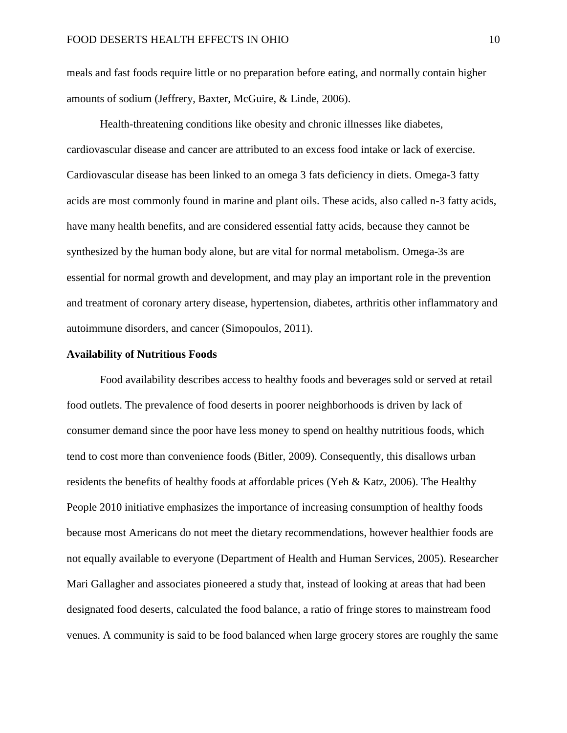meals and fast foods require little or no preparation before eating, and normally contain higher amounts of sodium (Jeffrery, Baxter, McGuire, & Linde, 2006).

Health-threatening conditions like obesity and chronic illnesses like diabetes, cardiovascular disease and cancer are attributed to an excess food intake or lack of exercise. Cardiovascular disease has been linked to an omega 3 fats deficiency in diets. Omega-3 fatty acids are most commonly found in marine and plant oils. These acids, also called n-3 fatty acids, have many health benefits, and are considered essential fatty acids, because they cannot be synthesized by the human body alone, but are vital for normal metabolism. Omega-3s are essential for normal growth and development, and may play an important role in the prevention and treatment of coronary artery disease, hypertension, diabetes, arthritis other inflammatory and autoimmune disorders, and cancer (Simopoulos, 2011).

#### **Availability of Nutritious Foods**

Food availability describes access to healthy foods and beverages sold or served at retail food outlets. The prevalence of food deserts in poorer neighborhoods is driven by lack of consumer demand since the poor have less money to spend on healthy nutritious foods, which tend to cost more than convenience foods (Bitler, 2009). Consequently, this disallows urban residents the benefits of healthy foods at affordable prices (Yeh & Katz, 2006). The Healthy People 2010 initiative emphasizes the importance of increasing consumption of healthy foods because most Americans do not meet the dietary recommendations, however healthier foods are not equally available to everyone (Department of Health and Human Services, 2005). Researcher Mari Gallagher and associates pioneered a study that, instead of looking at areas that had been designated food deserts, calculated the food balance, a ratio of fringe stores to mainstream food venues. A community is said to be food balanced when large grocery stores are roughly the same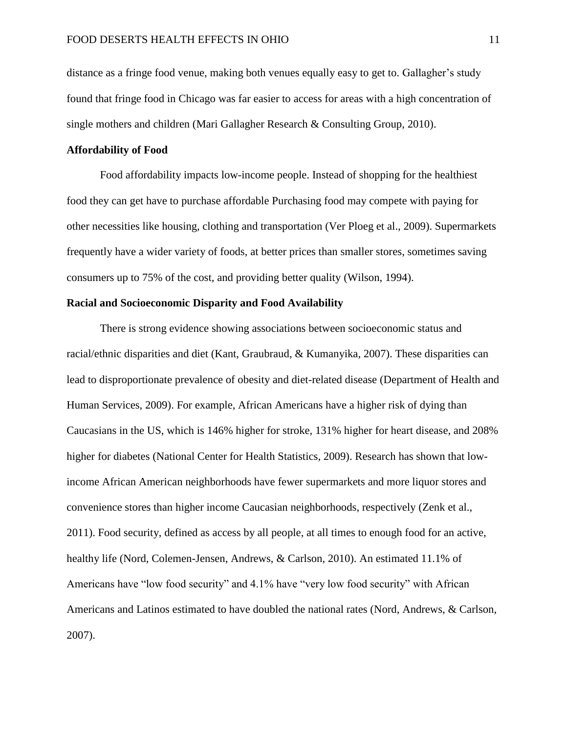distance as a fringe food venue, making both venues equally easy to get to. Gallagher's study found that fringe food in Chicago was far easier to access for areas with a high concentration of single mothers and children (Mari Gallagher Research & Consulting Group, 2010).

#### **Affordability of Food**

Food affordability impacts low-income people. Instead of shopping for the healthiest food they can get have to purchase affordable Purchasing food may compete with paying for other necessities like housing, clothing and transportation (Ver Ploeg et al., 2009). Supermarkets frequently have a wider variety of foods, at better prices than smaller stores, sometimes saving consumers up to 75% of the cost, and providing better quality (Wilson, 1994).

#### **Racial and Socioeconomic Disparity and Food Availability**

There is strong evidence showing associations between socioeconomic status and racial/ethnic disparities and diet (Kant, Graubraud, & Kumanyika, 2007). These disparities can lead to disproportionate prevalence of obesity and diet-related disease (Department of Health and Human Services, 2009). For example, African Americans have a higher risk of dying than Caucasians in the US, which is 146% higher for stroke, 131% higher for heart disease, and 208% higher for diabetes (National Center for Health Statistics, 2009). Research has shown that lowincome African American neighborhoods have fewer supermarkets and more liquor stores and convenience stores than higher income Caucasian neighborhoods, respectively (Zenk et al., 2011). Food security, defined as access by all people, at all times to enough food for an active, healthy life (Nord, Colemen-Jensen, Andrews, & Carlson, 2010). An estimated 11.1% of Americans have "low food security" and 4.1% have "very low food security" with African Americans and Latinos estimated to have doubled the national rates (Nord, Andrews, & Carlson, 2007).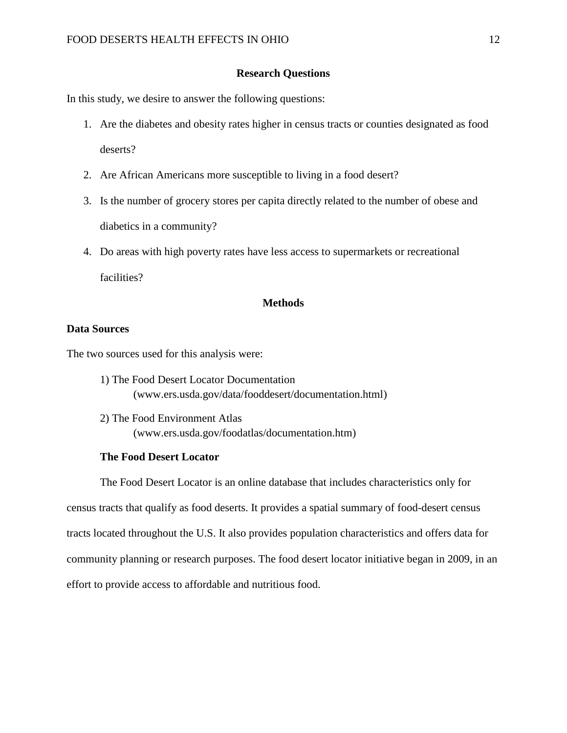#### **Research Questions**

In this study, we desire to answer the following questions:

- 1. Are the diabetes and obesity rates higher in census tracts or counties designated as food deserts?
- 2. Are African Americans more susceptible to living in a food desert?
- 3. Is the number of grocery stores per capita directly related to the number of obese and diabetics in a community?
- 4. Do areas with high poverty rates have less access to supermarkets or recreational facilities?

#### **Methods**

#### **Data Sources**

The two sources used for this analysis were:

- 1) The Food Desert Locator Documentation (www.ers.usda.gov/data/fooddesert/documentation.html)
- 2) The Food Environment Atlas (www.ers.usda.gov/foodatlas/documentation.htm)

#### **The Food Desert Locator**

The Food Desert Locator is an online database that includes characteristics only for census tracts that qualify as food deserts. It provides a spatial summary of food-desert census tracts located throughout the U.S. It also provides population characteristics and offers data for community planning or research purposes. The food desert locator initiative began in 2009, in an effort to provide access to affordable and nutritious food.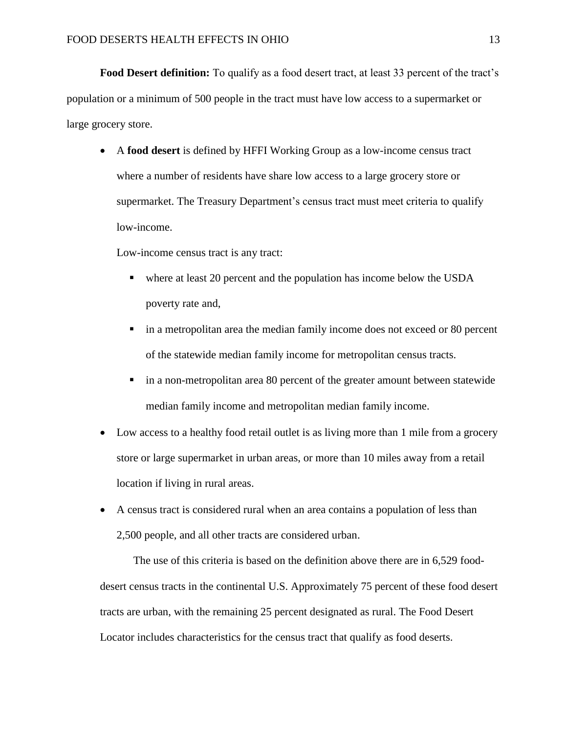**Food Desert definition:** To qualify as a food desert tract, at least 33 percent of the tract's population or a minimum of 500 people in the tract must have low access to a supermarket or large grocery store.

 A **food desert** is defined by HFFI Working Group as a low-income census tract where a number of residents have share low access to a large grocery store or supermarket. The Treasury Department's census tract must meet criteria to qualify low-income.

Low-income census tract is any tract:

- where at least 20 percent and the population has income below the USDA poverty rate and,
- in a metropolitan area the median family income does not exceed or 80 percent of the statewide median family income for metropolitan census tracts.
- in a non-metropolitan area 80 percent of the greater amount between statewide median family income and metropolitan median family income.
- Low access to a healthy food retail outlet is as living more than 1 mile from a grocery store or large supermarket in urban areas, or more than 10 miles away from a retail location if living in rural areas.
- A census tract is considered rural when an area contains a population of less than 2,500 people, and all other tracts are considered urban.

The use of this criteria is based on the definition above there are in 6,529 fooddesert census tracts in the continental U.S. Approximately 75 percent of these food desert tracts are urban, with the remaining 25 percent designated as rural. The Food Desert Locator includes characteristics for the census tract that qualify as food deserts.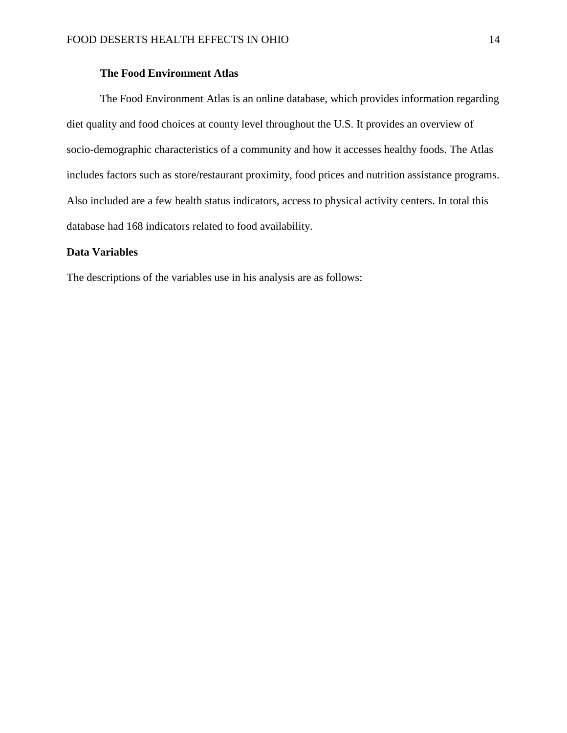#### **The Food Environment Atlas**

The Food Environment Atlas is an online database, which provides information regarding diet quality and food choices at county level throughout the U.S. It provides an overview of socio-demographic characteristics of a community and how it accesses healthy foods. The Atlas includes factors such as store/restaurant proximity, food prices and nutrition assistance programs. Also included are a few health status indicators, access to physical activity centers. In total this database had 168 indicators related to food availability.

#### **Data Variables**

The descriptions of the variables use in his analysis are as follows: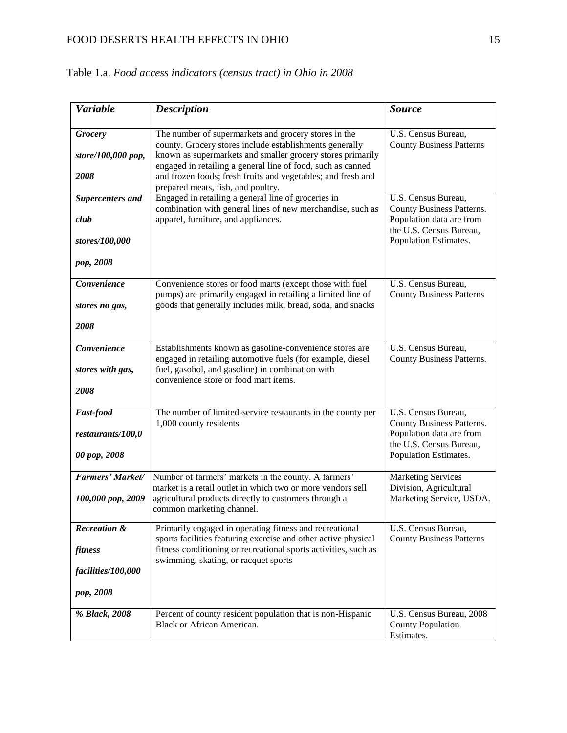| <b>Variable</b>                                                | <b>Description</b>                                                                                                                                                                                                                                                                                                                                 | <b>Source</b>                                                                                                                    |
|----------------------------------------------------------------|----------------------------------------------------------------------------------------------------------------------------------------------------------------------------------------------------------------------------------------------------------------------------------------------------------------------------------------------------|----------------------------------------------------------------------------------------------------------------------------------|
| <b>Grocery</b><br>store/100,000 pop,<br>2008                   | The number of supermarkets and grocery stores in the<br>county. Grocery stores include establishments generally<br>known as supermarkets and smaller grocery stores primarily<br>engaged in retailing a general line of food, such as canned<br>and frozen foods; fresh fruits and vegetables; and fresh and<br>prepared meats, fish, and poultry. | U.S. Census Bureau,<br><b>County Business Patterns</b>                                                                           |
| <b>Supercenters and</b><br>club<br>stores/100,000<br>pop, 2008 | Engaged in retailing a general line of groceries in<br>combination with general lines of new merchandise, such as<br>apparel, furniture, and appliances.                                                                                                                                                                                           | U.S. Census Bureau,<br>County Business Patterns.<br>Population data are from<br>the U.S. Census Bureau,<br>Population Estimates. |
| Convenience<br>stores no gas,<br>2008                          | Convenience stores or food marts (except those with fuel<br>pumps) are primarily engaged in retailing a limited line of<br>goods that generally includes milk, bread, soda, and snacks                                                                                                                                                             | U.S. Census Bureau,<br><b>County Business Patterns</b>                                                                           |
| Convenience<br>stores with gas,<br>2008                        | Establishments known as gasoline-convenience stores are<br>engaged in retailing automotive fuels (for example, diesel<br>fuel, gasohol, and gasoline) in combination with<br>convenience store or food mart items.                                                                                                                                 | U.S. Census Bureau,<br><b>County Business Patterns.</b>                                                                          |
| <b>Fast-food</b><br>restaurants/100,0<br>00 pop, 2008          | The number of limited-service restaurants in the county per<br>1,000 county residents                                                                                                                                                                                                                                                              | U.S. Census Bureau,<br>County Business Patterns.<br>Population data are from<br>the U.S. Census Bureau,<br>Population Estimates. |
| Farmers' Market/<br>100,000 pop, 2009                          | Number of farmers' markets in the county. A farmers'<br>market is a retail outlet in which two or more vendors sell<br>agricultural products directly to customers through a<br>common marketing channel.                                                                                                                                          | <b>Marketing Services</b><br>Division, Agricultural<br>Marketing Service, USDA.                                                  |
| Recreation &<br>fitness<br>facilities/100,000<br>pop, 2008     | Primarily engaged in operating fitness and recreational<br>sports facilities featuring exercise and other active physical<br>fitness conditioning or recreational sports activities, such as<br>swimming, skating, or racquet sports                                                                                                               | U.S. Census Bureau,<br><b>County Business Patterns</b>                                                                           |
| % Black, 2008                                                  | Percent of county resident population that is non-Hispanic<br><b>Black or African American.</b>                                                                                                                                                                                                                                                    | U.S. Census Bureau, 2008<br><b>County Population</b><br>Estimates.                                                               |

Table 1.a. *Food access indicators (census tract) in Ohio in 2008*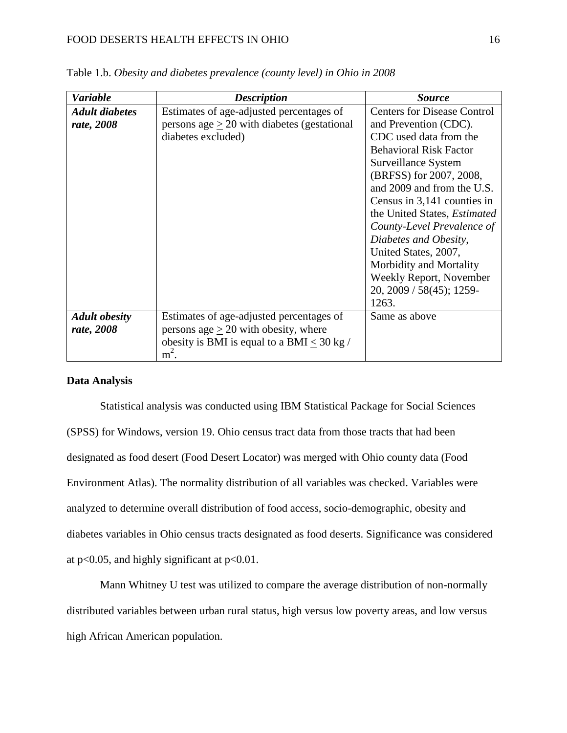#### FOOD DESERTS HEALTH EFFECTS IN OHIO 16

| <b>Variable</b>       | <b>Description</b>                               | <i>Source</i>                       |
|-----------------------|--------------------------------------------------|-------------------------------------|
| <b>Adult diabetes</b> | Estimates of age-adjusted percentages of         | <b>Centers for Disease Control</b>  |
| rate, 2008            | persons age $\geq$ 20 with diabetes (gestational | and Prevention (CDC).               |
|                       | diabetes excluded)                               | CDC used data from the              |
|                       |                                                  | <b>Behavioral Risk Factor</b>       |
|                       |                                                  | Surveillance System                 |
|                       |                                                  | (BRFSS) for 2007, 2008,             |
|                       |                                                  | and 2009 and from the U.S.          |
|                       |                                                  | Census in 3,141 counties in         |
|                       |                                                  | the United States, <i>Estimated</i> |
|                       |                                                  | County-Level Prevalence of          |
|                       |                                                  | Diabetes and Obesity,               |
|                       |                                                  | United States, 2007,                |
|                       |                                                  | Morbidity and Mortality             |
|                       |                                                  | Weekly Report, November             |
|                       |                                                  | 20, 2009 / 58(45); 1259-            |
|                       |                                                  | 1263.                               |
| <b>Adult obesity</b>  | Estimates of age-adjusted percentages of         | Same as above                       |
| rate, 2008            | persons age $\geq$ 20 with obesity, where        |                                     |
|                       | obesity is BMI is equal to a BMI $\leq 30$ kg /  |                                     |
|                       | $m^2$ .                                          |                                     |

Table 1.b. *Obesity and diabetes prevalence (county level) in Ohio in 2008*

#### **Data Analysis**

Statistical analysis was conducted using IBM Statistical Package for Social Sciences (SPSS) for Windows, version 19. Ohio census tract data from those tracts that had been designated as food desert (Food Desert Locator) was merged with Ohio county data (Food Environment Atlas). The normality distribution of all variables was checked. Variables were analyzed to determine overall distribution of food access, socio-demographic, obesity and diabetes variables in Ohio census tracts designated as food deserts. Significance was considered at  $p<0.05$ , and highly significant at  $p<0.01$ .

Mann Whitney U test was utilized to compare the average distribution of non-normally distributed variables between urban rural status, high versus low poverty areas, and low versus high African American population.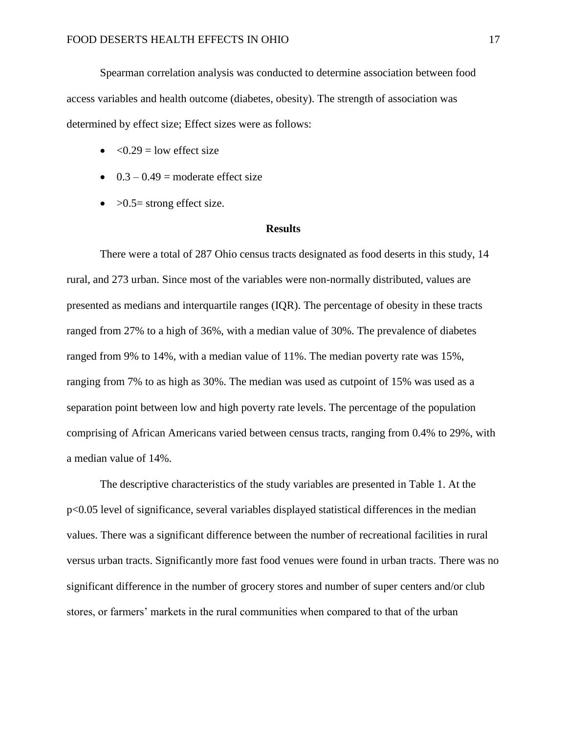Spearman correlation analysis was conducted to determine association between food access variables and health outcome (diabetes, obesity). The strength of association was determined by effect size; Effect sizes were as follows:

- $\bullet \quad <0.29$  = low effect size
- $0.3 0.49$  = moderate effect size
- $\bullet$  >0.5= strong effect size.

#### **Results**

There were a total of 287 Ohio census tracts designated as food deserts in this study, 14 rural, and 273 urban. Since most of the variables were non-normally distributed, values are presented as medians and interquartile ranges (IQR). The percentage of obesity in these tracts ranged from 27% to a high of 36%, with a median value of 30%. The prevalence of diabetes ranged from 9% to 14%, with a median value of 11%. The median poverty rate was 15%, ranging from 7% to as high as 30%. The median was used as cutpoint of 15% was used as a separation point between low and high poverty rate levels. The percentage of the population comprising of African Americans varied between census tracts, ranging from 0.4% to 29%, with a median value of 14%.

The descriptive characteristics of the study variables are presented in Table 1. At the p<0.05 level of significance, several variables displayed statistical differences in the median values. There was a significant difference between the number of recreational facilities in rural versus urban tracts. Significantly more fast food venues were found in urban tracts. There was no significant difference in the number of grocery stores and number of super centers and/or club stores, or farmers' markets in the rural communities when compared to that of the urban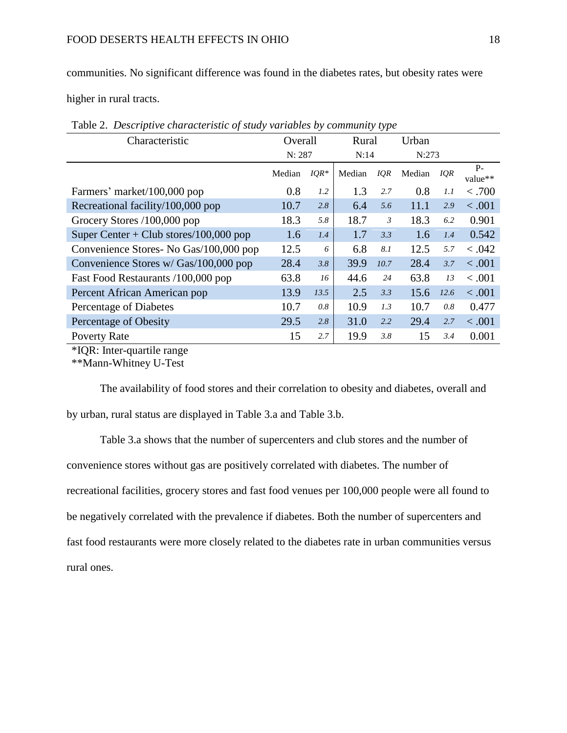communities. No significant difference was found in the diabetes rates, but obesity rates were

higher in rural tracts.

| Characteristic                         | Overall |        | Rural  |      | Urban  |      |                  |
|----------------------------------------|---------|--------|--------|------|--------|------|------------------|
|                                        | N: 287  |        | N:14   |      | N:273  |      |                  |
|                                        | Median  | $IQR*$ | Median | IQR  | Median | IQR  | $P -$<br>value** |
| Farmers' market/100,000 pop            | 0.8     | 1.2    | 1.3    | 2.7  | 0.8    | 1.1  | < .700           |
| Recreational facility/100,000 pop      | 10.7    | 2.8    | 6.4    | 5.6  | 11.1   | 2.9  | < .001           |
| Grocery Stores /100,000 pop            | 18.3    | 5.8    | 18.7   | 3    | 18.3   | 6.2  | 0.901            |
| Super Center + Club stores/100,000 pop | 1.6     | 1.4    | 1.7    | 3.3  | 1.6    | 1.4  | 0.542            |
| Convenience Stores- No Gas/100,000 pop | 12.5    | 6      | 6.8    | 8.1  | 12.5   | 5.7  | < .042           |
| Convenience Stores w/ Gas/100,000 pop  | 28.4    | 3.8    | 39.9   | 10.7 | 28.4   | 3.7  | < .001           |
| Fast Food Restaurants /100,000 pop     | 63.8    | 16     | 44.6   | 24   | 63.8   | 13   | < .001           |
| Percent African American pop           | 13.9    | 13.5   | 2.5    | 3.3  | 15.6   | 12.6 | < .001           |
| Percentage of Diabetes                 | 10.7    | 0.8    | 10.9   | 1.3  | 10.7   | 0.8  | 0.477            |
| Percentage of Obesity                  | 29.5    | 2.8    | 31.0   | 2.2  | 29.4   | 2.7  | < .001           |
| <b>Poverty Rate</b>                    | 15      | 2.7    | 19.9   | 3.8  | 15     | 3.4  | 0.001            |

Table 2. *Descriptive characteristic of study variables by community type*

\*IQR: Inter-quartile range

\*\*Mann-Whitney U-Test

The availability of food stores and their correlation to obesity and diabetes, overall and by urban, rural status are displayed in Table 3.a and Table 3.b.

Table 3.a shows that the number of supercenters and club stores and the number of convenience stores without gas are positively correlated with diabetes. The number of recreational facilities, grocery stores and fast food venues per 100,000 people were all found to be negatively correlated with the prevalence if diabetes. Both the number of supercenters and fast food restaurants were more closely related to the diabetes rate in urban communities versus rural ones.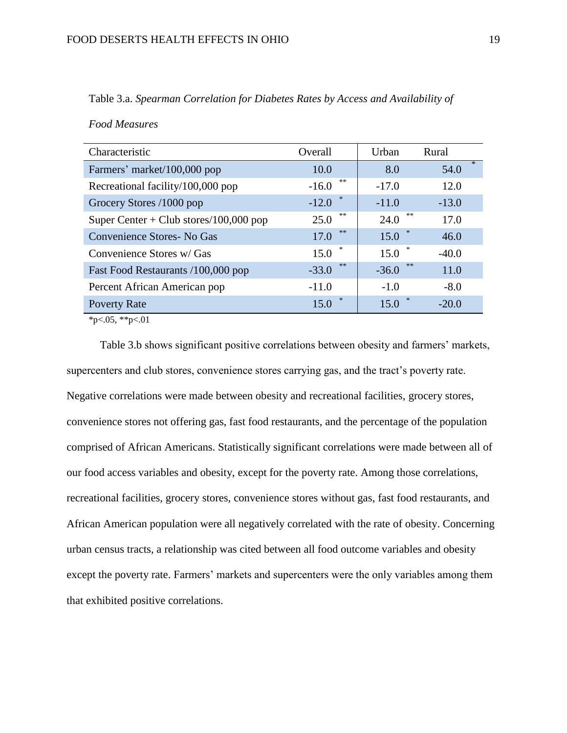| Characteristic                         | Overall       | Urban         | Rural          |
|----------------------------------------|---------------|---------------|----------------|
| Farmers' market/100,000 pop            | 10.0          | 8.0           | $\ast$<br>54.0 |
| Recreational facility/100,000 pop      | **<br>$-16.0$ | $-17.0$       | 12.0           |
| Grocery Stores /1000 pop               | *<br>$-12.0$  | $-11.0$       | $-13.0$        |
| Super Center + Club stores/100,000 pop | **<br>25.0    | **<br>24.0    | 17.0           |
| Convenience Stores - No Gas            | **<br>17.0    | $*$<br>15.0   | 46.0           |
| Convenience Stores w/ Gas              | 15.0          | 15.0          | $-40.0$        |
| Fast Food Restaurants /100,000 pop     | **<br>$-33.0$ | **<br>$-36.0$ | 11.0           |
| Percent African American pop           | $-11.0$       | $-1.0$        | $-8.0$         |
| <b>Poverty Rate</b>                    | *<br>15.0     | 15.0          | $-20.0$        |

Table 3.a. *Spearman Correlation for Diabetes Rates by Access and Availability of* 

*Food Measures*

 $*p<.05$ ,  $*p<.01$ 

Table 3.b shows significant positive correlations between obesity and farmers' markets, supercenters and club stores, convenience stores carrying gas, and the tract's poverty rate. Negative correlations were made between obesity and recreational facilities, grocery stores, convenience stores not offering gas, fast food restaurants, and the percentage of the population comprised of African Americans. Statistically significant correlations were made between all of our food access variables and obesity, except for the poverty rate. Among those correlations, recreational facilities, grocery stores, convenience stores without gas, fast food restaurants, and African American population were all negatively correlated with the rate of obesity. Concerning urban census tracts, a relationship was cited between all food outcome variables and obesity except the poverty rate. Farmers' markets and supercenters were the only variables among them that exhibited positive correlations.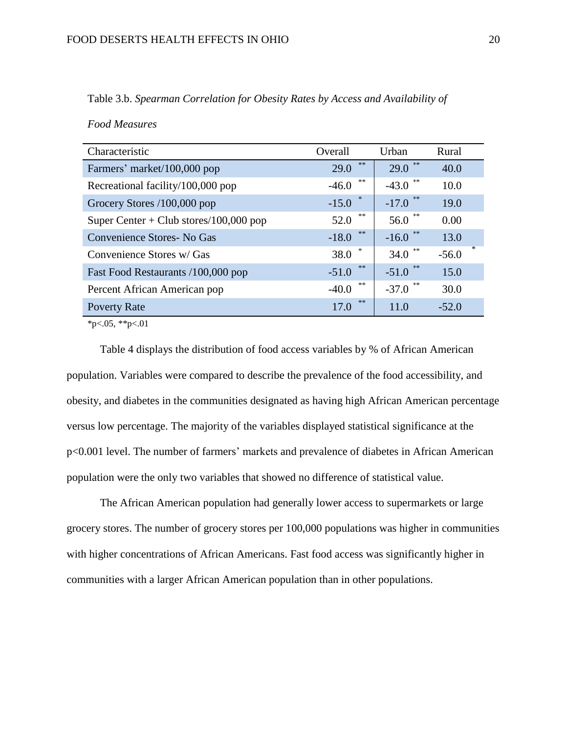| Characteristic                         | Overall       | Urban                 | Rural          |
|----------------------------------------|---------------|-----------------------|----------------|
| Farmers' market/100,000 pop            | **<br>29.0    | 未来<br>29.0            | 40.0           |
| Recreational facility/100,000 pop      | **<br>$-46.0$ | 永冰<br>$-43.0$         | 10.0           |
| Grocery Stores /100,000 pop            | *<br>$-15.0$  | 永冰<br>$-17.0$         | 19.0           |
| Super Center + Club stores/100,000 pop | **<br>52.0    | **<br>56.0            | 0.00           |
| <b>Convenience Stores-No Gas</b>       | **<br>$-18.0$ | 永冰<br>$-16.0$         | 13.0           |
| Convenience Stores w/ Gas              | ∗<br>38.0     | 永冰<br>34.0            | $*$<br>$-56.0$ |
| Fast Food Restaurants /100,000 pop     | **<br>$-51.0$ | $\ast\ast$<br>$-51.0$ | 15.0           |
| Percent African American pop           | **<br>$-40.0$ | **<br>$-37.0$         | 30.0           |
| <b>Poverty Rate</b>                    | **<br>17.0    | 11.0                  | $-52.0$        |

Table 3.b. *Spearman Correlation for Obesity Rates by Access and Availability of* 

*Food Measures*

 $*_{p<.05}$ ,  $*_{p<.01}$ 

Table 4 displays the distribution of food access variables by % of African American population. Variables were compared to describe the prevalence of the food accessibility, and obesity, and diabetes in the communities designated as having high African American percentage versus low percentage. The majority of the variables displayed statistical significance at the p<0.001 level. The number of farmers' markets and prevalence of diabetes in African American population were the only two variables that showed no difference of statistical value.

The African American population had generally lower access to supermarkets or large grocery stores. The number of grocery stores per 100,000 populations was higher in communities with higher concentrations of African Americans. Fast food access was significantly higher in communities with a larger African American population than in other populations.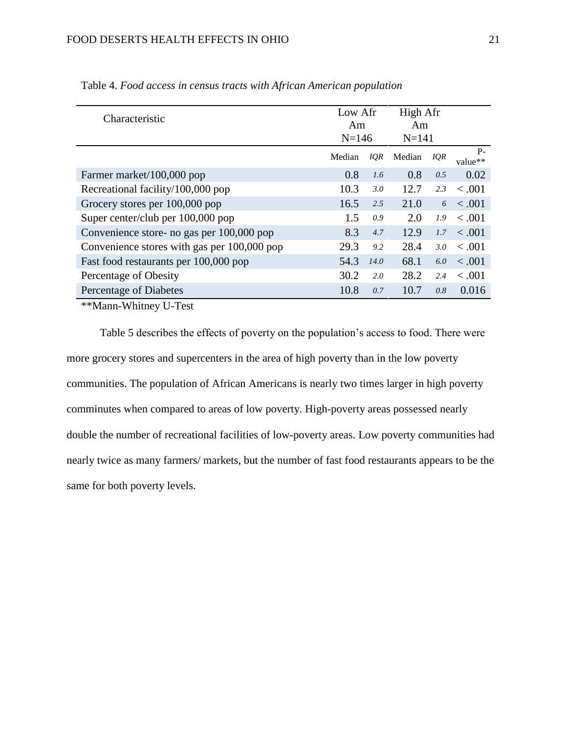| Characteristic                              | Low Afr<br>Am<br>$N = 146$ |            | High Afr<br>Am<br>$N = 141$ |     |                 |
|---------------------------------------------|----------------------------|------------|-----------------------------|-----|-----------------|
|                                             | Median                     | <b>IQR</b> | Median                      | IQR | $P-$<br>value** |
| Farmer market/100,000 pop                   | 0.8                        | 1.6        | 0.8                         | 0.5 | 0.02            |
| Recreational facility/100,000 pop           | 10.3                       | 3.0        | 12.7                        | 2.3 | < .001          |
| Grocery stores per 100,000 pop              | 16.5                       | 2.5        | 21.0                        | 6   | < .001          |
| Super center/club per 100,000 pop           | 1.5                        | 0.9        | 2.0                         | 1.9 | $-.001$         |
| Convenience store- no gas per 100,000 pop   | 8.3                        | 4.7        | 12.9                        | 1.7 | < .001          |
| Convenience stores with gas per 100,000 pop | 29.3                       | 9.2        | 28.4                        | 3.0 | $-.001$         |
| Fast food restaurants per 100,000 pop       | 54.3                       | 14.0       | 68.1                        | 6.0 | < .001          |
| Percentage of Obesity                       | 30.2                       | 2.0        | 28.2                        | 2.4 | < .001          |
| Percentage of Diabetes                      | 10.8                       | 0.7        | 10.7                        | 0.8 | 0.016           |

Table 4. *Food access in census tracts with African American population*

\*\*Mann-Whitney U-Test

Table 5 describes the effects of poverty on the population's access to food. There were more grocery stores and supercenters in the area of high poverty than in the low poverty communities. The population of African Americans is nearly two times larger in high poverty comminutes when compared to areas of low poverty. High-poverty areas possessed nearly double the number of recreational facilities of low-poverty areas. Low poverty communities had nearly twice as many farmers/ markets, but the number of fast food restaurants appears to be the same for both poverty levels.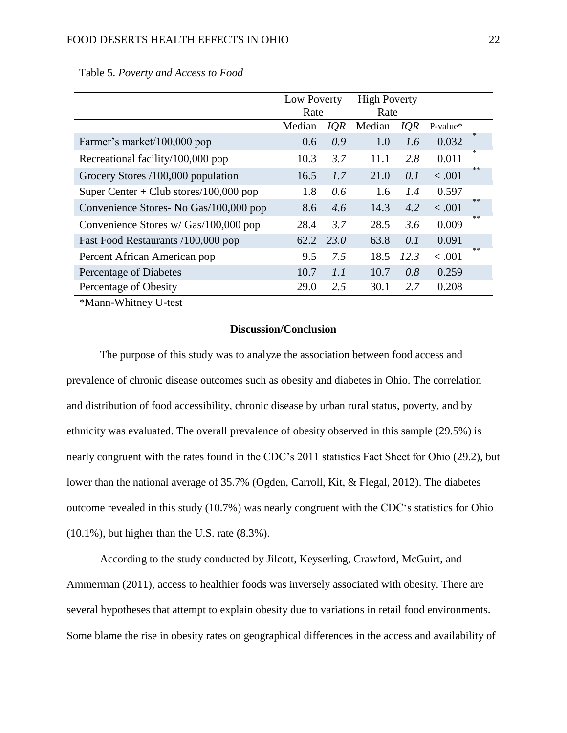|                                        | Low Poverty |            | <b>High Poverty</b> |            |            |     |
|----------------------------------------|-------------|------------|---------------------|------------|------------|-----|
|                                        | Rate        |            | Rate                |            |            |     |
|                                        | Median      | <i>IQR</i> | Median              | <b>IQR</b> | $P-value*$ |     |
| Farmer's market/100,000 pop            | 0.6         | 0.9        | 1.0                 | 1.6        | 0.032      | $*$ |
| Recreational facility/100,000 pop      | 10.3        | 3.7        | 11.1                | 2.8        | 0.011      | $*$ |
| Grocery Stores /100,000 population     | 16.5        | 1.7        | 21.0                | 0.1        | < .001     | **  |
| Super Center + Club stores/100,000 pop | 1.8         | 0.6        | 1.6                 | 1.4        | 0.597      |     |
| Convenience Stores- No Gas/100,000 pop | 8.6         | 4.6        | 14.3                | 4.2        | < .001     | **  |
| Convenience Stores w/ Gas/100,000 pop  | 28.4        | 3.7        | 28.5                | 3.6        | 0.009      | **  |
| Fast Food Restaurants /100,000 pop     | 62.2        | 23.0       | 63.8                | 0.1        | 0.091      |     |
| Percent African American pop           | 9.5         | 7.5        | 18.5                | 12.3       | < .001     | **  |
| Percentage of Diabetes                 | 10.7        | 1.1        | 10.7                | 0.8        | 0.259      |     |
| Percentage of Obesity                  | 29.0        | 2.5        | 30.1                | 2.7        | 0.208      |     |

Table 5. *Poverty and Access to Food*

\*Mann-Whitney U-test

#### **Discussion/Conclusion**

The purpose of this study was to analyze the association between food access and prevalence of chronic disease outcomes such as obesity and diabetes in Ohio. The correlation and distribution of food accessibility, chronic disease by urban rural status, poverty, and by ethnicity was evaluated. The overall prevalence of obesity observed in this sample (29.5%) is nearly congruent with the rates found in the CDC's 2011 statistics Fact Sheet for Ohio (29.2), but lower than the national average of 35.7% (Ogden, Carroll, Kit, & Flegal, 2012). The diabetes outcome revealed in this study (10.7%) was nearly congruent with the CDC's statistics for Ohio (10.1%), but higher than the U.S. rate (8.3%).

According to the study conducted by Jilcott, Keyserling, Crawford, McGuirt, and Ammerman (2011), access to healthier foods was inversely associated with obesity. There are several hypotheses that attempt to explain obesity due to variations in retail food environments. Some blame the rise in obesity rates on geographical differences in the access and availability of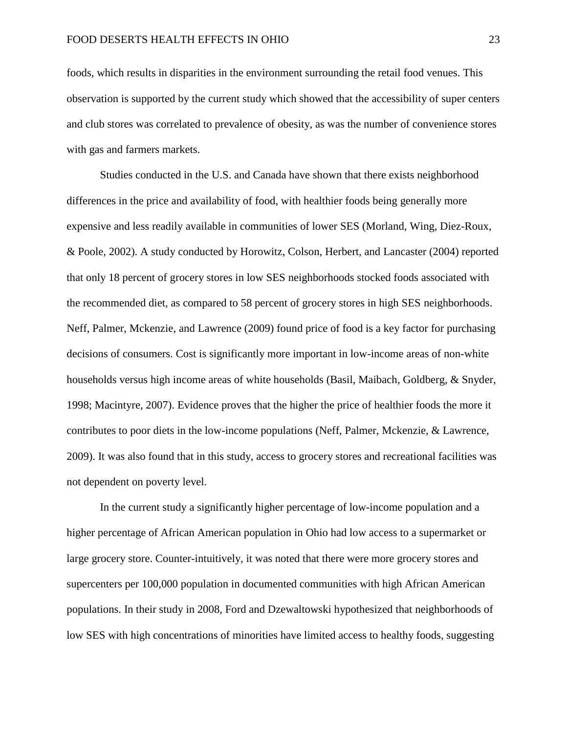foods, which results in disparities in the environment surrounding the retail food venues. This observation is supported by the current study which showed that the accessibility of super centers and club stores was correlated to prevalence of obesity, as was the number of convenience stores with gas and farmers markets.

Studies conducted in the U.S. and Canada have shown that there exists neighborhood differences in the price and availability of food, with healthier foods being generally more expensive and less readily available in communities of lower SES (Morland, Wing, Diez-Roux, & Poole, 2002). A study conducted by Horowitz, Colson, Herbert, and Lancaster (2004) reported that only 18 percent of grocery stores in low SES neighborhoods stocked foods associated with the recommended diet, as compared to 58 percent of grocery stores in high SES neighborhoods. Neff, Palmer, Mckenzie, and Lawrence (2009) found price of food is a key factor for purchasing decisions of consumers. Cost is significantly more important in low-income areas of non-white households versus high income areas of white households (Basil, Maibach, Goldberg, & Snyder, 1998; Macintyre, 2007). Evidence proves that the higher the price of healthier foods the more it contributes to poor diets in the low-income populations (Neff, Palmer, Mckenzie, & Lawrence, 2009). It was also found that in this study, access to grocery stores and recreational facilities was not dependent on poverty level.

In the current study a significantly higher percentage of low-income population and a higher percentage of African American population in Ohio had low access to a supermarket or large grocery store. Counter-intuitively, it was noted that there were more grocery stores and supercenters per 100,000 population in documented communities with high African American populations. In their study in 2008, Ford and Dzewaltowski hypothesized that neighborhoods of low SES with high concentrations of minorities have limited access to healthy foods, suggesting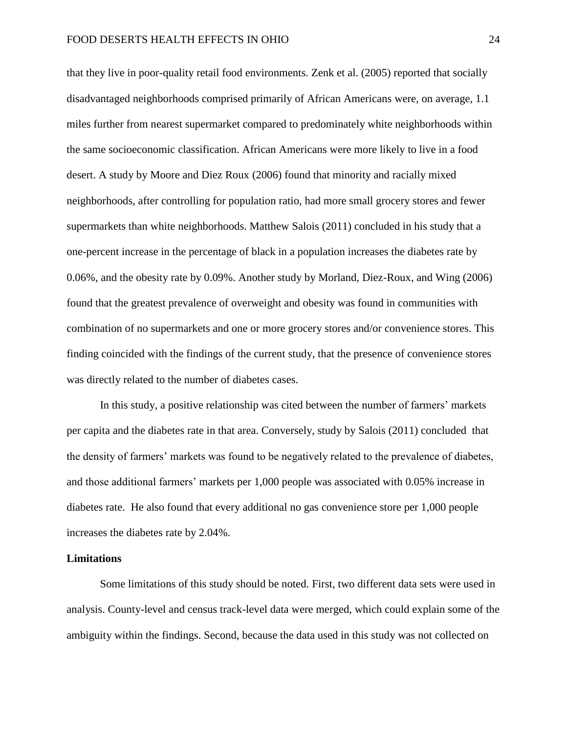that they live in poor-quality retail food environments. Zenk et al. (2005) reported that socially disadvantaged neighborhoods comprised primarily of African Americans were, on average, 1.1 miles further from nearest supermarket compared to predominately white neighborhoods within the same socioeconomic classification. African Americans were more likely to live in a food desert. A study by Moore and Diez Roux (2006) found that minority and racially mixed neighborhoods, after controlling for population ratio, had more small grocery stores and fewer supermarkets than white neighborhoods. Matthew Salois (2011) concluded in his study that a one-percent increase in the percentage of black in a population increases the diabetes rate by 0.06%, and the obesity rate by 0.09%. Another study by Morland, Diez-Roux, and Wing (2006) found that the greatest prevalence of overweight and obesity was found in communities with combination of no supermarkets and one or more grocery stores and/or convenience stores. This finding coincided with the findings of the current study, that the presence of convenience stores was directly related to the number of diabetes cases.

In this study, a positive relationship was cited between the number of farmers' markets per capita and the diabetes rate in that area. Conversely, study by Salois (2011) concluded that the density of farmers' markets was found to be negatively related to the prevalence of diabetes, and those additional farmers' markets per 1,000 people was associated with 0.05% increase in diabetes rate. He also found that every additional no gas convenience store per 1,000 people increases the diabetes rate by 2.04%.

#### **Limitations**

Some limitations of this study should be noted. First, two different data sets were used in analysis. County-level and census track-level data were merged, which could explain some of the ambiguity within the findings. Second, because the data used in this study was not collected on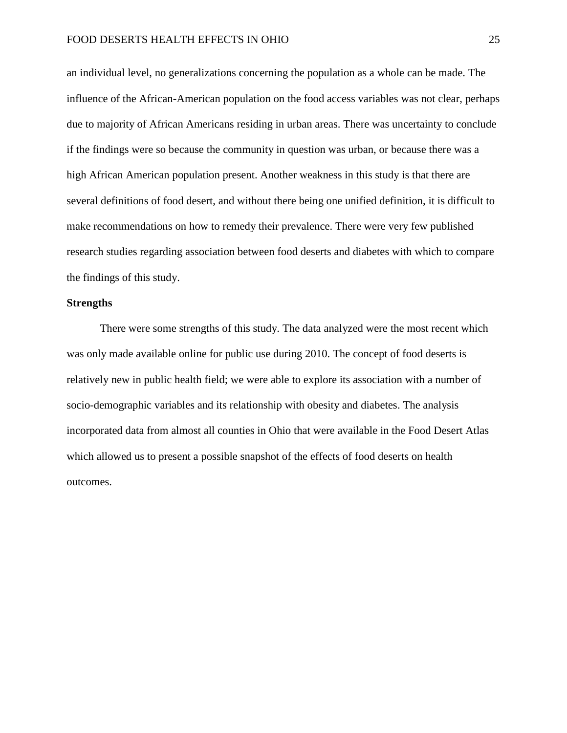an individual level, no generalizations concerning the population as a whole can be made. The influence of the African-American population on the food access variables was not clear, perhaps due to majority of African Americans residing in urban areas. There was uncertainty to conclude if the findings were so because the community in question was urban, or because there was a high African American population present. Another weakness in this study is that there are several definitions of food desert, and without there being one unified definition, it is difficult to make recommendations on how to remedy their prevalence. There were very few published research studies regarding association between food deserts and diabetes with which to compare the findings of this study.

#### **Strengths**

There were some strengths of this study. The data analyzed were the most recent which was only made available online for public use during 2010. The concept of food deserts is relatively new in public health field; we were able to explore its association with a number of socio-demographic variables and its relationship with obesity and diabetes. The analysis incorporated data from almost all counties in Ohio that were available in the Food Desert Atlas which allowed us to present a possible snapshot of the effects of food deserts on health outcomes.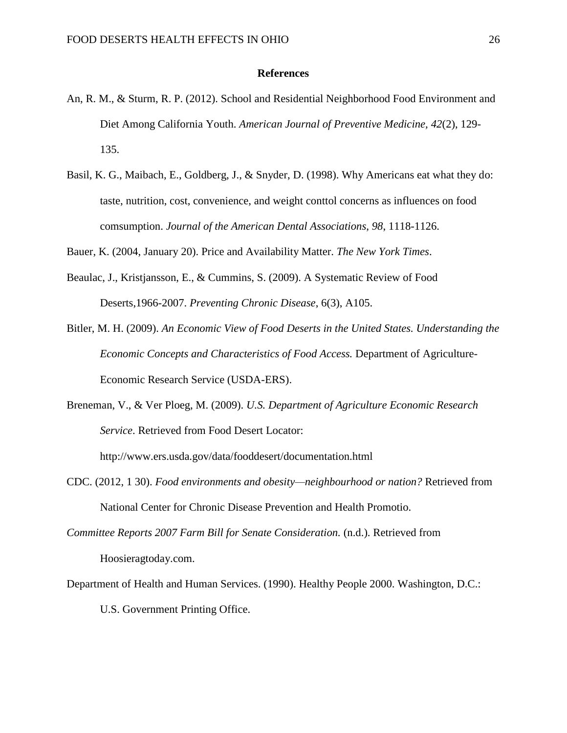#### **References**

- An, R. M., & Sturm, R. P. (2012). School and Residential Neighborhood Food Environment and Diet Among California Youth. *American Journal of Preventive Medicine, 42*(2), 129- 135.
- Basil, K. G., Maibach, E., Goldberg, J., & Snyder, D. (1998). Why Americans eat what they do: taste, nutrition, cost, convenience, and weight conttol concerns as influences on food comsumption. *Journal of the American Dental Associations*, *98*, 1118-1126.

Bauer, K. (2004, January 20). Price and Availability Matter. *The New York Times*.

- Beaulac, J., Kristjansson, E., & Cummins, S. (2009). A Systematic Review of Food Deserts,1966-2007. *Preventing Chronic Disease*, 6(3), A105.
- Bitler, M. H. (2009). *An Economic View of Food Deserts in the United States. Understanding the Economic Concepts and Characteristics of Food Access.* Department of Agriculture-Economic Research Service (USDA-ERS).
- Breneman, V., & Ver Ploeg, M. (2009). *U.S. Department of Agriculture Economic Research Service*. Retrieved from Food Desert Locator:

http://www.ers.usda.gov/data/fooddesert/documentation.html

CDC. (2012, 1 30). *Food environments and obesity—neighbourhood or nation?* Retrieved from National Center for Chronic Disease Prevention and Health Promotio.

*Committee Reports 2007 Farm Bill for Senate Consideration.* (n.d.). Retrieved from Hoosieragtoday.com.

Department of Health and Human Services. (1990). Healthy People 2000. Washington, D.C.: U.S. Government Printing Office.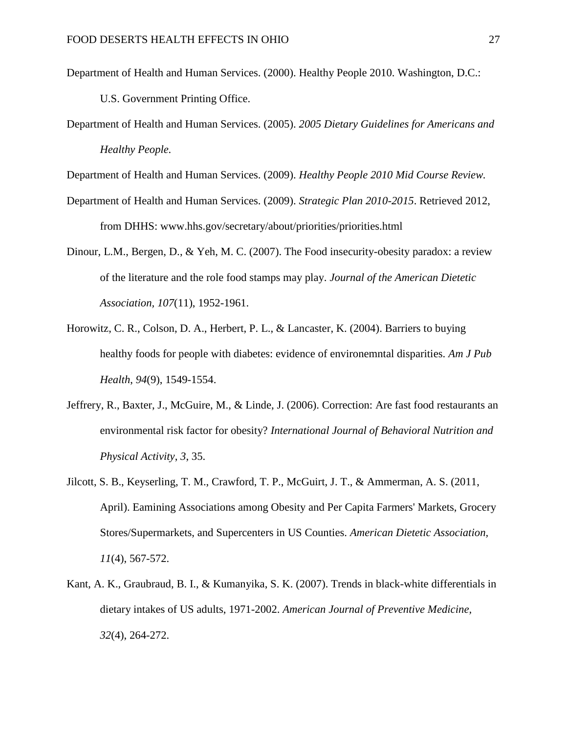Department of Health and Human Services. (2000). Healthy People 2010. Washington, D.C.:

U.S. Government Printing Office.

Department of Health and Human Services. (2005). *2005 Dietary Guidelines for Americans and Healthy People.*

Department of Health and Human Services. (2009). *Healthy People 2010 Mid Course Review.*

- Department of Health and Human Services. (2009). *Strategic Plan 2010-2015*. Retrieved 2012, from DHHS: www.hhs.gov/secretary/about/priorities/priorities.html
- Dinour, L.M., Bergen, D., & Yeh, M. C. (2007). The Food insecurity-obesity paradox: a review of the literature and the role food stamps may play. *Journal of the American Dietetic Association, 107*(11), 1952-1961.
- Horowitz, C. R., Colson, D. A., Herbert, P. L., & Lancaster, K. (2004). Barriers to buying healthy foods for people with diabetes: evidence of environemntal disparities. *Am J Pub Health*, *94*(9), 1549-1554.
- Jeffrery, R., Baxter, J., McGuire, M., & Linde, J. (2006). Correction: Are fast food restaurants an environmental risk factor for obesity? *International Journal of Behavioral Nutrition and Physical Activity*, *3*, 35.
- Jilcott, S. B., Keyserling, T. M., Crawford, T. P., McGuirt, J. T., & Ammerman, A. S. (2011, April). Eamining Associations among Obesity and Per Capita Farmers' Markets, Grocery Stores/Supermarkets, and Supercenters in US Counties. *American Dietetic Association, 11*(4), 567-572.
- Kant, A. K., Graubraud, B. I., & Kumanyika, S. K. (2007). Trends in black-white differentials in dietary intakes of US adults, 1971-2002. *American Journal of Preventive Medicine, 32*(4), 264-272.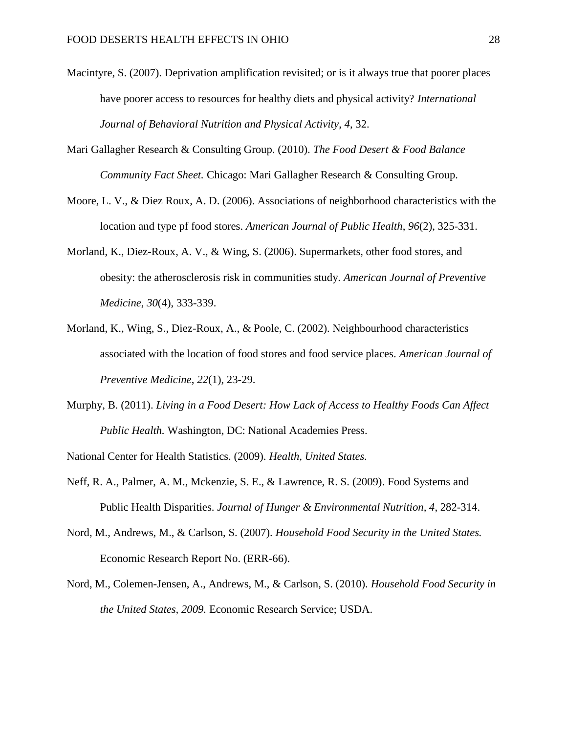- Macintyre, S. (2007). Deprivation amplification revisited; or is it always true that poorer places have poorer access to resources for healthy diets and physical activity? *International Journal of Behavioral Nutrition and Physical Activity*, *4*, 32.
- Mari Gallagher Research & Consulting Group. (2010). *The Food Desert & Food Balance Community Fact Sheet.* Chicago: Mari Gallagher Research & Consulting Group.
- Moore, L. V., & Diez Roux, A. D. (2006). Associations of neighborhood characteristics with the location and type pf food stores. *American Journal of Public Health*, *96*(2), 325-331.
- Morland, K., Diez-Roux, A. V., & Wing, S. (2006). Supermarkets, other food stores, and obesity: the atherosclerosis risk in communities study. *American Journal of Preventive Medicine*, *30*(4), 333-339.
- Morland, K., Wing, S., Diez-Roux, A., & Poole, C. (2002). Neighbourhood characteristics associated with the location of food stores and food service places. *American Journal of Preventive Medicine*, *22*(1), 23-29.
- Murphy, B. (2011). *Living in a Food Desert: How Lack of Access to Healthy Foods Can Affect Public Health.* Washington, DC: National Academies Press.

National Center for Health Statistics. (2009). *Health, United States.*

- Neff, R. A., Palmer, A. M., Mckenzie, S. E., & Lawrence, R. S. (2009). Food Systems and Public Health Disparities. *Journal of Hunger & Environmental Nutrition, 4*, 282-314.
- Nord, M., Andrews, M., & Carlson, S. (2007). *Household Food Security in the United States.* Economic Research Report No. (ERR-66).
- Nord, M., Colemen-Jensen, A., Andrews, M., & Carlson, S. (2010). *Household Food Security in the United States, 2009.* Economic Research Service; USDA.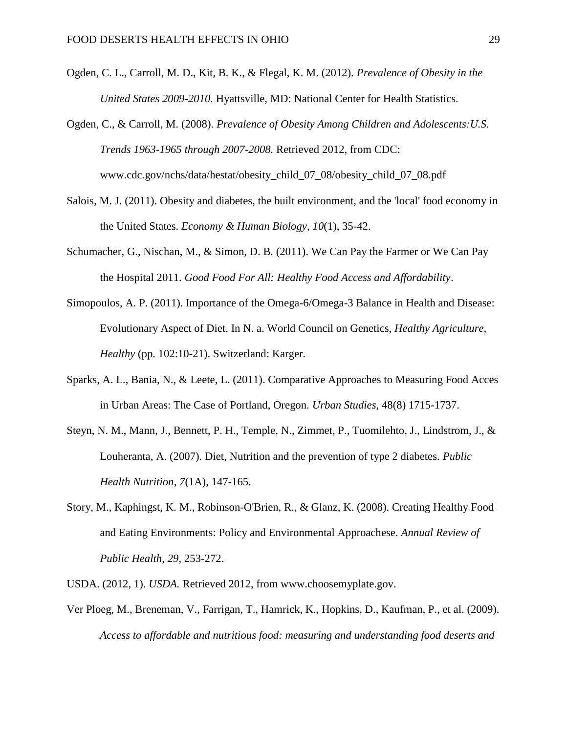- Ogden, C. L., Carroll, M. D., Kit, B. K., & Flegal, K. M. (2012). *Prevalence of Obesity in the United States 2009-2010.* Hyattsville, MD: National Center for Health Statistics.
- Ogden, C., & Carroll, M. (2008). *Prevalence of Obesity Among Children and Adolescents:U.S. Trends 1963-1965 through 2007-2008.* Retrieved 2012, from CDC: www.cdc.gov/nchs/data/hestat/obesity\_child\_07\_08/obesity\_child\_07\_08.pdf
- Salois, M. J. (2011). Obesity and diabetes, the built environment, and the 'local' food economy in the United States. *Economy & Human Biology*, *10*(1), 35-42.
- Schumacher, G., Nischan, M., & Simon, D. B. (2011). We Can Pay the Farmer or We Can Pay the Hospital 2011. *Good Food For All: Healthy Food Access and Affordability*.
- Simopoulos, A. P. (2011). Importance of the Omega-6/Omega-3 Balance in Health and Disease: Evolutionary Aspect of Diet. In N. a. World Council on Genetics, *Healthy Agriculture, Healthy* (pp. 102:10-21). Switzerland: Karger.
- Sparks, A. L., Bania, N., & Leete, L. (2011). Comparative Approaches to Measuring Food Acces in Urban Areas: The Case of Portland, Oregon. *Urban Studies*, 48(8) 1715-1737.
- Steyn, N. M., Mann, J., Bennett, P. H., Temple, N., Zimmet, P., Tuomilehto, J., Lindstrom, J., & Louheranta, A. (2007). Diet, Nutrition and the prevention of type 2 diabetes. *Public Health Nutrition*, *7*(1A), 147-165.
- Story, M., Kaphingst, K. M., Robinson-O'Brien, R., & Glanz, K. (2008). Creating Healthy Food and Eating Environments: Policy and Environmental Approachese*. Annual Review of Public Health*, *29,* 253-272.
- USDA. (2012, 1). *USDA.* Retrieved 2012, from www.choosemyplate.gov.
- Ver Ploeg, M., Breneman, V., Farrigan, T., Hamrick, K., Hopkins, D., Kaufman, P., et al. (2009). *Access to affordable and nutritious food: measuring and understanding food deserts and*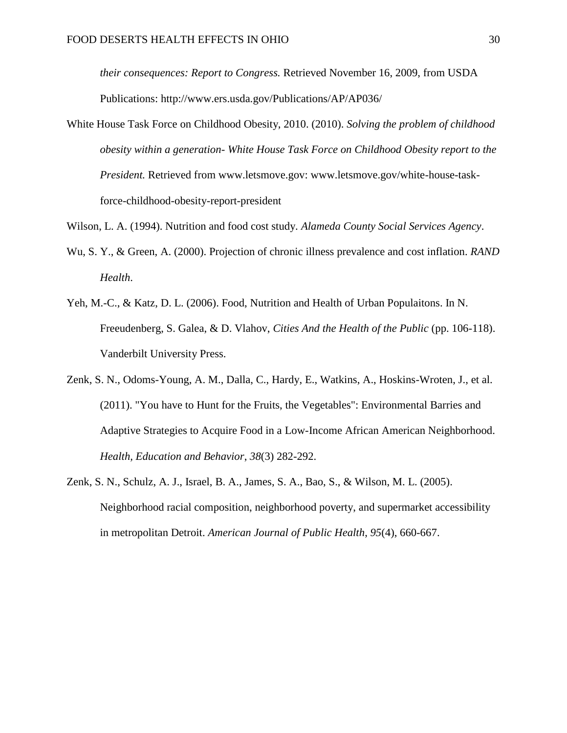*their consequences: Report to Congress.* Retrieved November 16, 2009, from USDA Publications: http://www.ers.usda.gov/Publications/AP/AP036/

- White House Task Force on Childhood Obesity, 2010. (2010). *Solving the problem of childhood obesity within a generation- White House Task Force on Childhood Obesity report to the President.* Retrieved from www.letsmove.gov: www.letsmove.gov/white-house-taskforce-childhood-obesity-report-president
- Wilson, L. A. (1994). Nutrition and food cost study. *Alameda County Social Services Agency*.
- Wu, S. Y., & Green, A. (2000). Projection of chronic illness prevalence and cost inflation. *RAND Health*.
- Yeh, M.-C., & Katz, D. L. (2006). Food, Nutrition and Health of Urban Populaitons. In N. Freeudenberg, S. Galea, & D. Vlahov, *Cities And the Health of the Public* (pp. 106-118). Vanderbilt University Press.
- Zenk, S. N., Odoms-Young, A. M., Dalla, C., Hardy, E., Watkins, A., Hoskins-Wroten, J., et al. (2011). "You have to Hunt for the Fruits, the Vegetables": Environmental Barries and Adaptive Strategies to Acquire Food in a Low-Income African American Neighborhood. *Health, Education and Behavior*, *38*(3) 282-292.
- Zenk, S. N., Schulz, A. J., Israel, B. A., James, S. A., Bao, S., & Wilson, M. L. (2005). Neighborhood racial composition, neighborhood poverty, and supermarket accessibility in metropolitan Detroit. *American Journal of Public Health*, *95*(4), 660-667.